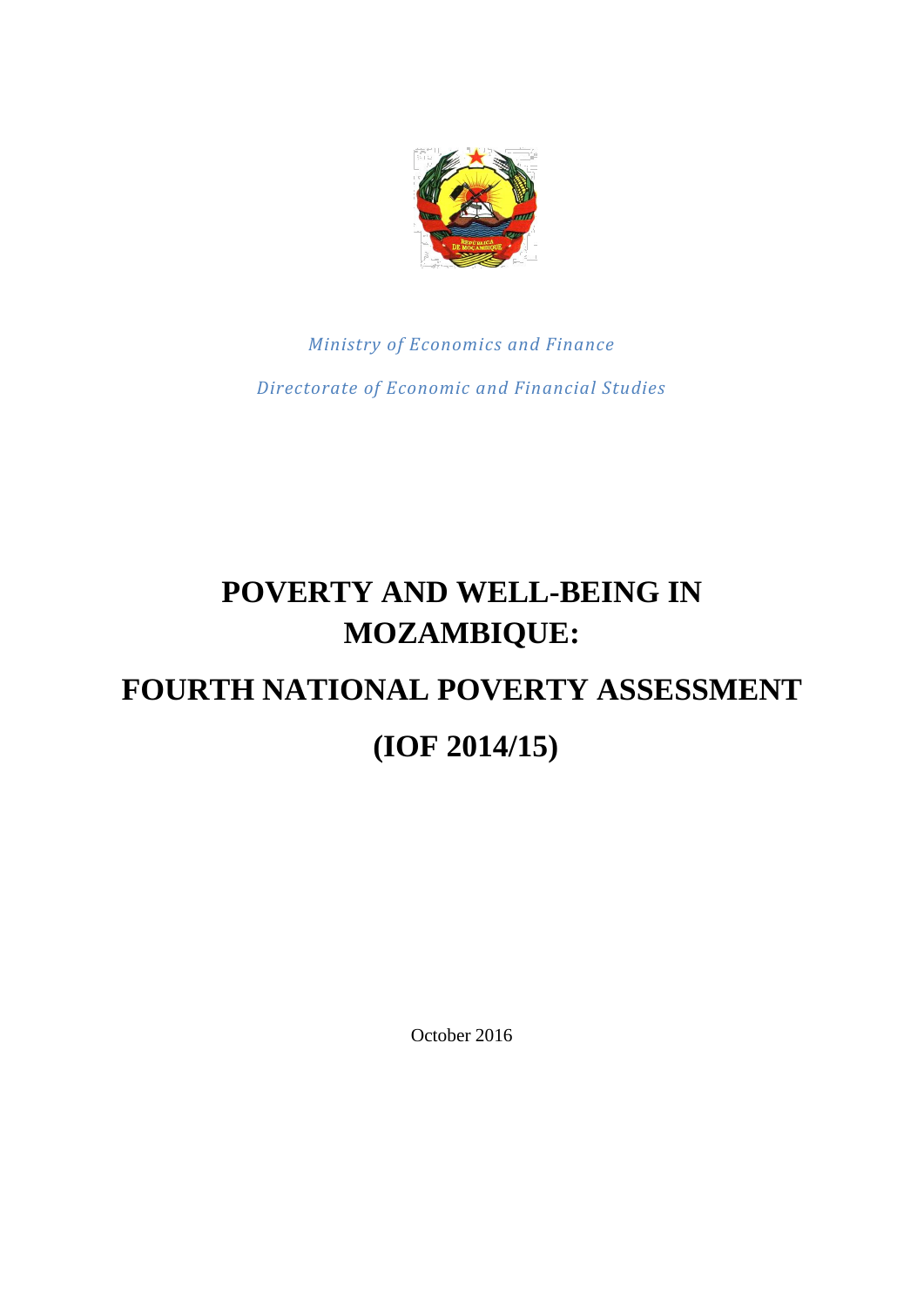

*Ministry of Economics and Finance Directorate of Economic and Financial Studies*

## **POVERTY AND WELL-BEING IN MOZAMBIQUE: FOURTH NATIONAL POVERTY ASSESSMENT (IOF 2014/15)**

October 2016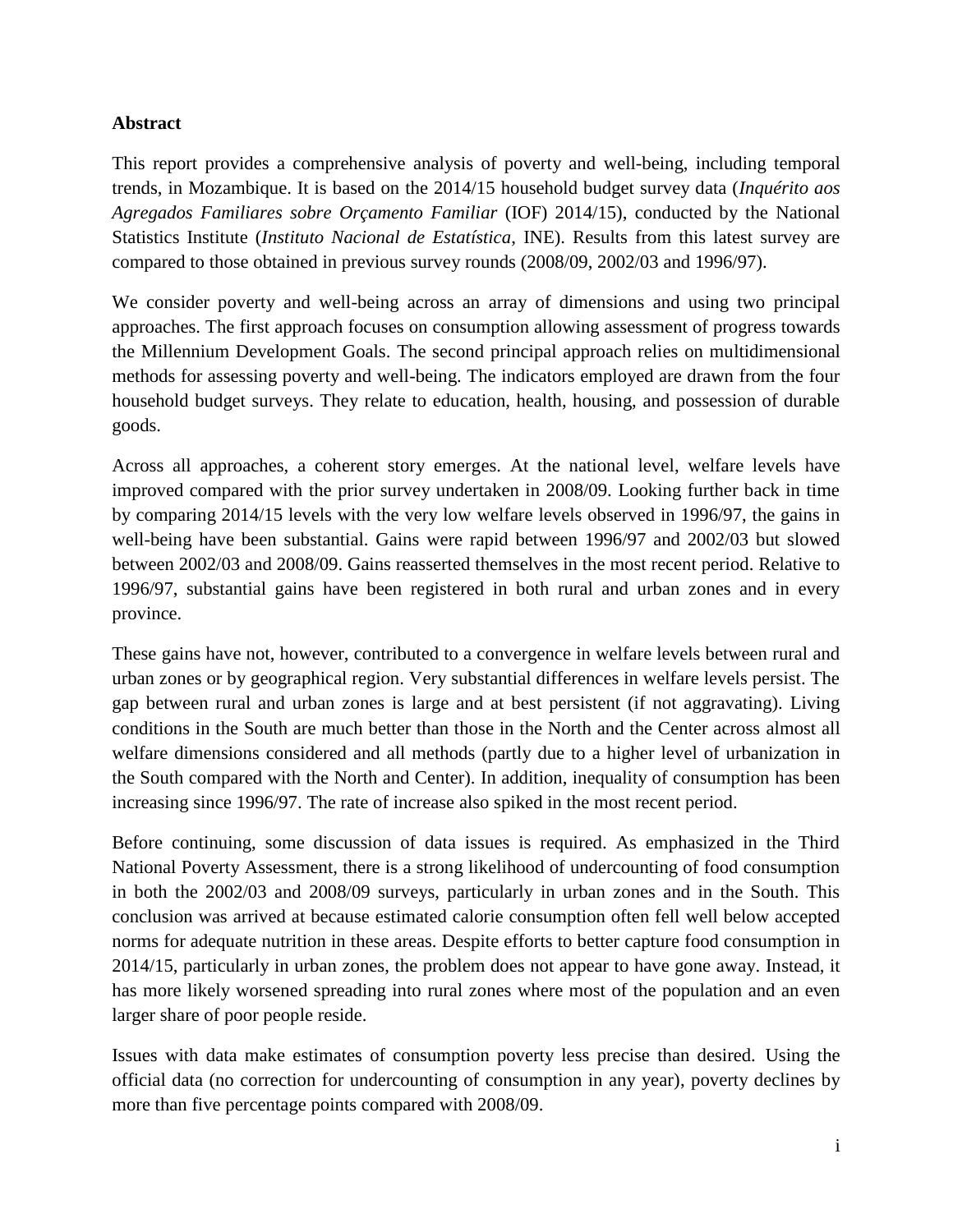## **Abstract**

This report provides a comprehensive analysis of poverty and well-being, including temporal trends, in Mozambique. It is based on the 2014/15 household budget survey data (*Inquérito aos Agregados Familiares sobre Orçamento Familiar* (IOF) 2014/15), conducted by the National Statistics Institute (*Instituto Nacional de Estatística*, INE). Results from this latest survey are compared to those obtained in previous survey rounds (2008/09, 2002/03 and 1996/97).

We consider poverty and well-being across an array of dimensions and using two principal approaches. The first approach focuses on consumption allowing assessment of progress towards the Millennium Development Goals. The second principal approach relies on multidimensional methods for assessing poverty and well-being. The indicators employed are drawn from the four household budget surveys. They relate to education, health, housing, and possession of durable goods.

Across all approaches, a coherent story emerges. At the national level, welfare levels have improved compared with the prior survey undertaken in 2008/09. Looking further back in time by comparing 2014/15 levels with the very low welfare levels observed in 1996/97, the gains in well-being have been substantial. Gains were rapid between 1996/97 and 2002/03 but slowed between 2002/03 and 2008/09. Gains reasserted themselves in the most recent period. Relative to 1996/97, substantial gains have been registered in both rural and urban zones and in every province.

These gains have not, however, contributed to a convergence in welfare levels between rural and urban zones or by geographical region. Very substantial differences in welfare levels persist. The gap between rural and urban zones is large and at best persistent (if not aggravating). Living conditions in the South are much better than those in the North and the Center across almost all welfare dimensions considered and all methods (partly due to a higher level of urbanization in the South compared with the North and Center). In addition, inequality of consumption has been increasing since 1996/97. The rate of increase also spiked in the most recent period.

Before continuing, some discussion of data issues is required. As emphasized in the Third National Poverty Assessment, there is a strong likelihood of undercounting of food consumption in both the 2002/03 and 2008/09 surveys, particularly in urban zones and in the South. This conclusion was arrived at because estimated calorie consumption often fell well below accepted norms for adequate nutrition in these areas. Despite efforts to better capture food consumption in 2014/15, particularly in urban zones, the problem does not appear to have gone away. Instead, it has more likely worsened spreading into rural zones where most of the population and an even larger share of poor people reside.

Issues with data make estimates of consumption poverty less precise than desired. Using the official data (no correction for undercounting of consumption in any year), poverty declines by more than five percentage points compared with 2008/09.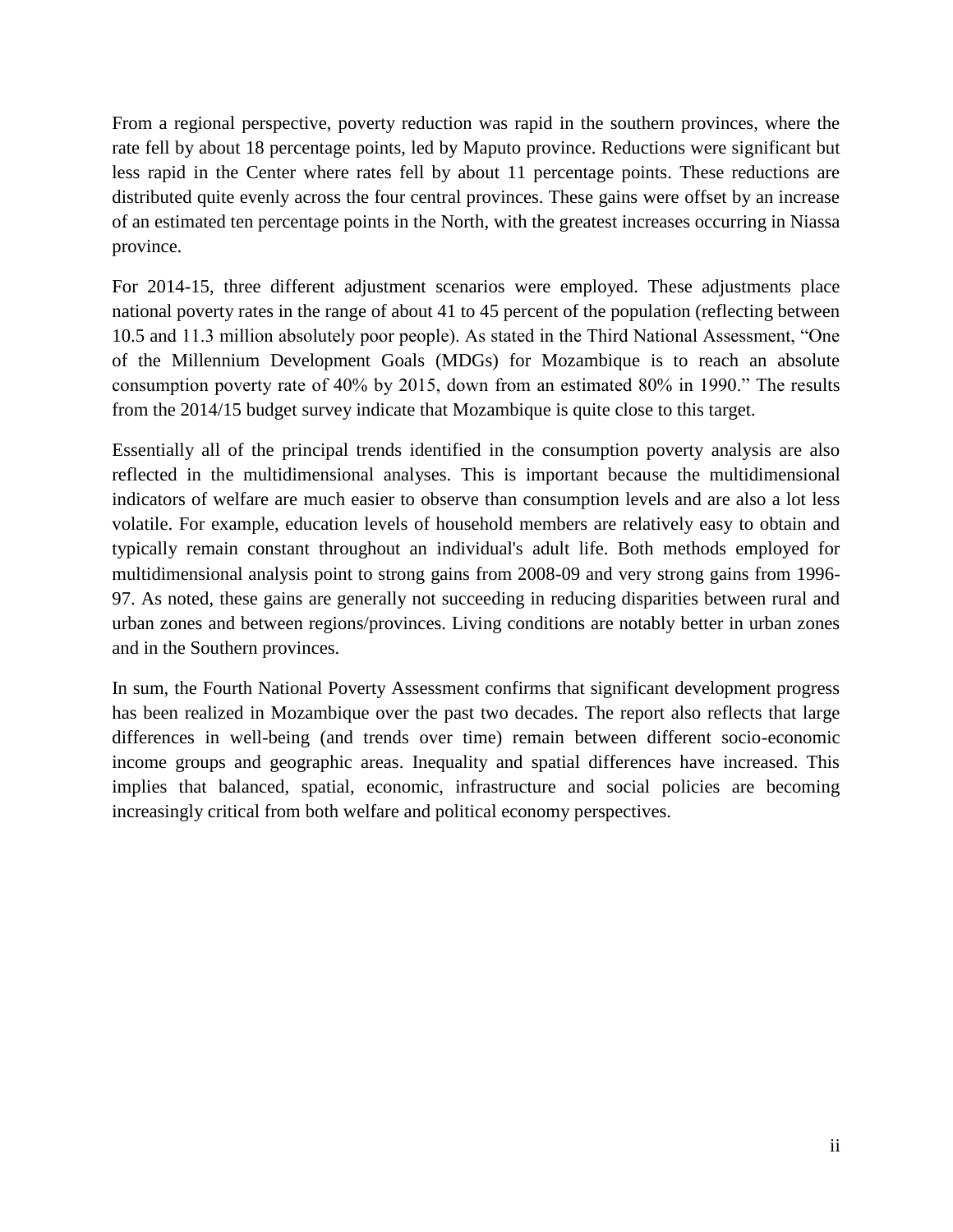From a regional perspective, poverty reduction was rapid in the southern provinces, where the rate fell by about 18 percentage points, led by Maputo province. Reductions were significant but less rapid in the Center where rates fell by about 11 percentage points. These reductions are distributed quite evenly across the four central provinces. These gains were offset by an increase of an estimated ten percentage points in the North, with the greatest increases occurring in Niassa province.

For 2014-15, three different adjustment scenarios were employed. These adjustments place national poverty rates in the range of about 41 to 45 percent of the population (reflecting between 10.5 and 11.3 million absolutely poor people). As stated in the Third National Assessment, "One of the Millennium Development Goals (MDGs) for Mozambique is to reach an absolute consumption poverty rate of 40% by 2015, down from an estimated 80% in 1990." The results from the 2014/15 budget survey indicate that Mozambique is quite close to this target.

Essentially all of the principal trends identified in the consumption poverty analysis are also reflected in the multidimensional analyses. This is important because the multidimensional indicators of welfare are much easier to observe than consumption levels and are also a lot less volatile. For example, education levels of household members are relatively easy to obtain and typically remain constant throughout an individual's adult life. Both methods employed for multidimensional analysis point to strong gains from 2008-09 and very strong gains from 1996- 97. As noted, these gains are generally not succeeding in reducing disparities between rural and urban zones and between regions/provinces. Living conditions are notably better in urban zones and in the Southern provinces.

In sum, the Fourth National Poverty Assessment confirms that significant development progress has been realized in Mozambique over the past two decades. The report also reflects that large differences in well-being (and trends over time) remain between different socio-economic income groups and geographic areas. Inequality and spatial differences have increased. This implies that balanced, spatial, economic, infrastructure and social policies are becoming increasingly critical from both welfare and political economy perspectives.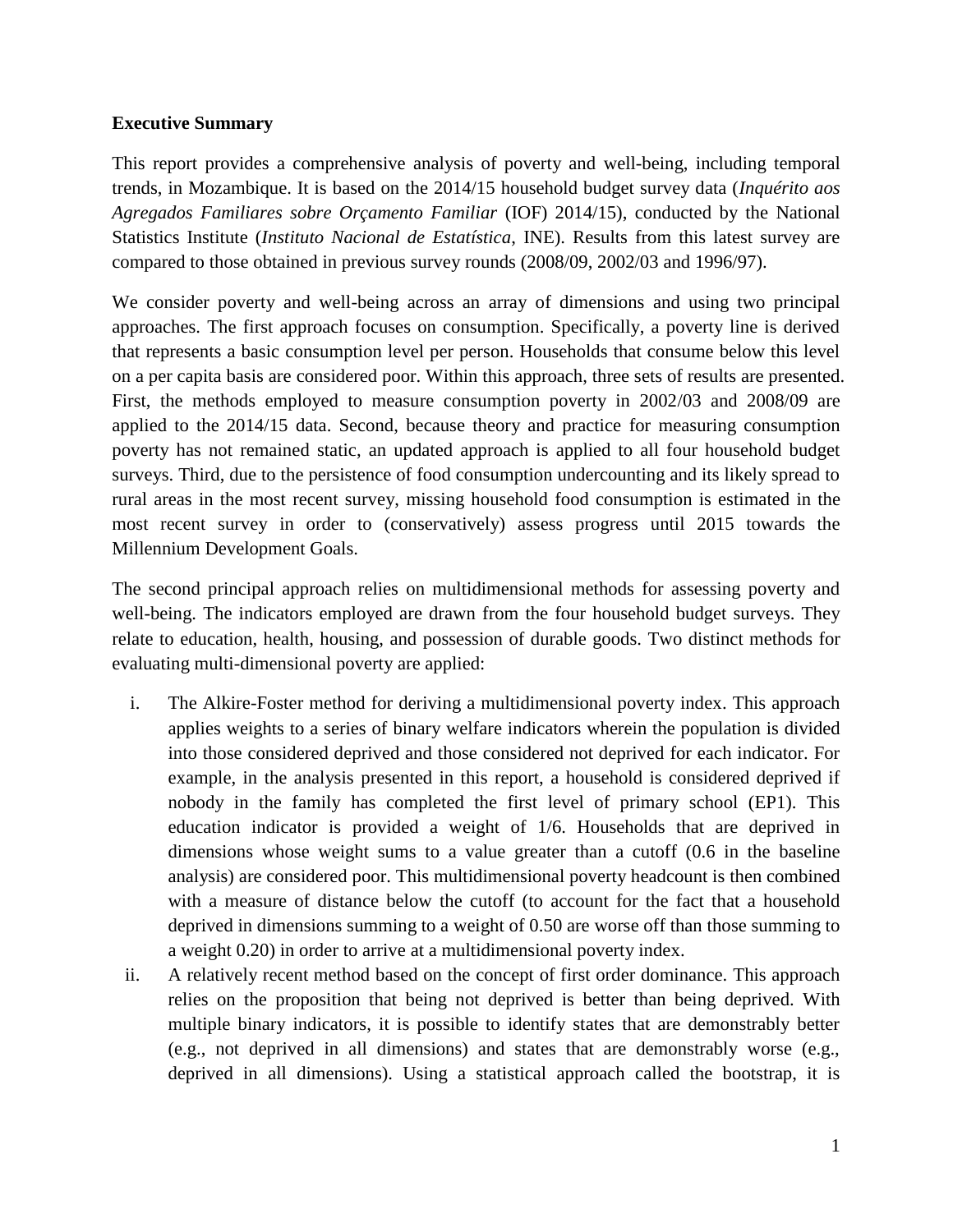## **Executive Summary**

This report provides a comprehensive analysis of poverty and well-being, including temporal trends, in Mozambique. It is based on the 2014/15 household budget survey data (*Inquérito aos Agregados Familiares sobre Orçamento Familiar* (IOF) 2014/15), conducted by the National Statistics Institute (*Instituto Nacional de Estatística*, INE). Results from this latest survey are compared to those obtained in previous survey rounds (2008/09, 2002/03 and 1996/97).

We consider poverty and well-being across an array of dimensions and using two principal approaches. The first approach focuses on consumption. Specifically, a poverty line is derived that represents a basic consumption level per person. Households that consume below this level on a per capita basis are considered poor. Within this approach, three sets of results are presented. First, the methods employed to measure consumption poverty in 2002/03 and 2008/09 are applied to the 2014/15 data. Second, because theory and practice for measuring consumption poverty has not remained static, an updated approach is applied to all four household budget surveys. Third, due to the persistence of food consumption undercounting and its likely spread to rural areas in the most recent survey, missing household food consumption is estimated in the most recent survey in order to (conservatively) assess progress until 2015 towards the Millennium Development Goals.

The second principal approach relies on multidimensional methods for assessing poverty and well-being. The indicators employed are drawn from the four household budget surveys. They relate to education, health, housing, and possession of durable goods. Two distinct methods for evaluating multi-dimensional poverty are applied:

- i. The Alkire-Foster method for deriving a multidimensional poverty index. This approach applies weights to a series of binary welfare indicators wherein the population is divided into those considered deprived and those considered not deprived for each indicator. For example, in the analysis presented in this report, a household is considered deprived if nobody in the family has completed the first level of primary school (EP1). This education indicator is provided a weight of 1/6. Households that are deprived in dimensions whose weight sums to a value greater than a cutoff (0.6 in the baseline analysis) are considered poor. This multidimensional poverty headcount is then combined with a measure of distance below the cutoff (to account for the fact that a household deprived in dimensions summing to a weight of 0.50 are worse off than those summing to a weight 0.20) in order to arrive at a multidimensional poverty index.
- ii. A relatively recent method based on the concept of first order dominance. This approach relies on the proposition that being not deprived is better than being deprived. With multiple binary indicators, it is possible to identify states that are demonstrably better (e.g., not deprived in all dimensions) and states that are demonstrably worse (e.g., deprived in all dimensions). Using a statistical approach called the bootstrap, it is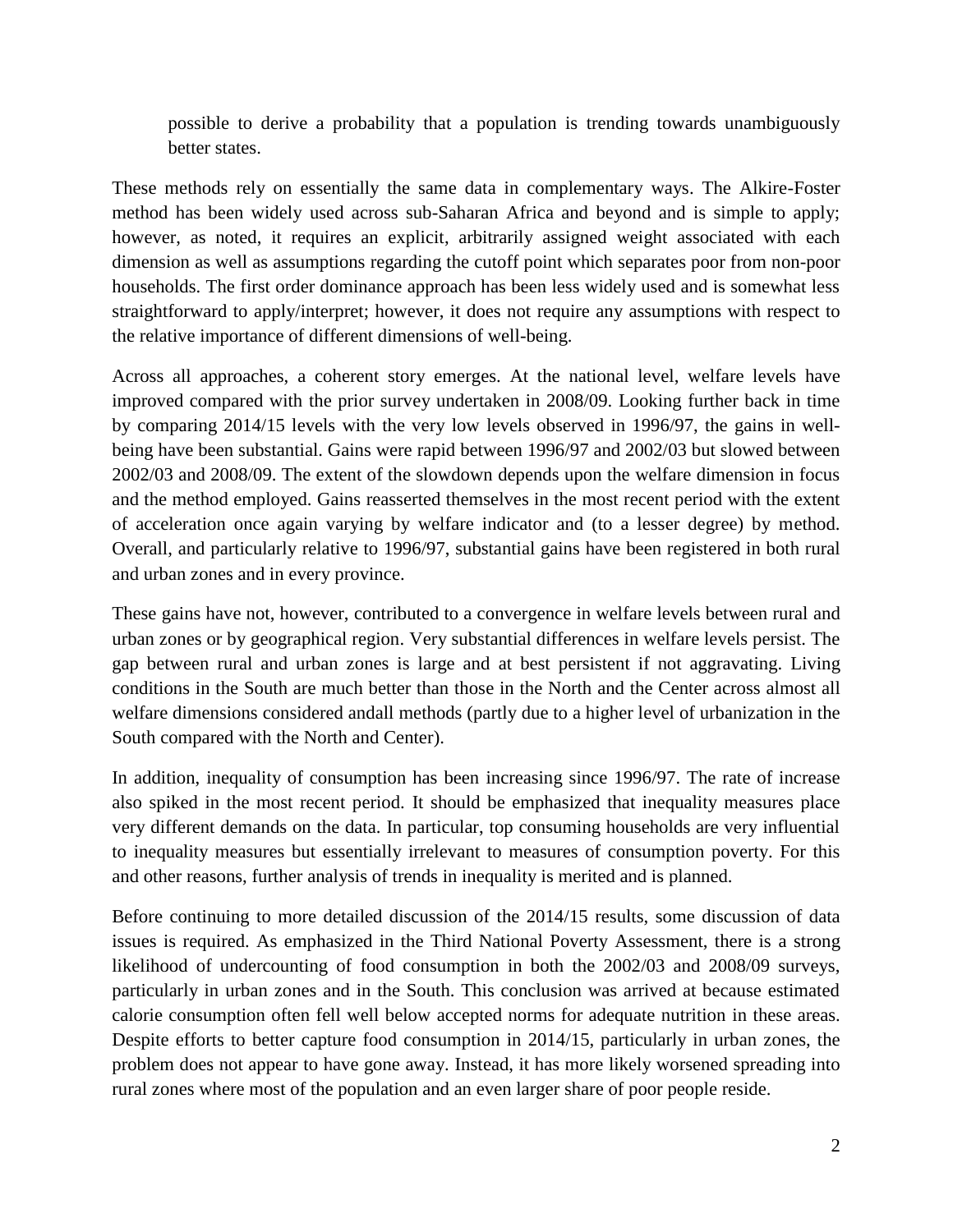possible to derive a probability that a population is trending towards unambiguously better states.

These methods rely on essentially the same data in complementary ways. The Alkire-Foster method has been widely used across sub-Saharan Africa and beyond and is simple to apply; however, as noted, it requires an explicit, arbitrarily assigned weight associated with each dimension as well as assumptions regarding the cutoff point which separates poor from non-poor households. The first order dominance approach has been less widely used and is somewhat less straightforward to apply/interpret; however, it does not require any assumptions with respect to the relative importance of different dimensions of well-being.

Across all approaches, a coherent story emerges. At the national level, welfare levels have improved compared with the prior survey undertaken in 2008/09. Looking further back in time by comparing 2014/15 levels with the very low levels observed in 1996/97, the gains in wellbeing have been substantial. Gains were rapid between 1996/97 and 2002/03 but slowed between 2002/03 and 2008/09. The extent of the slowdown depends upon the welfare dimension in focus and the method employed. Gains reasserted themselves in the most recent period with the extent of acceleration once again varying by welfare indicator and (to a lesser degree) by method. Overall, and particularly relative to 1996/97, substantial gains have been registered in both rural and urban zones and in every province.

These gains have not, however, contributed to a convergence in welfare levels between rural and urban zones or by geographical region. Very substantial differences in welfare levels persist. The gap between rural and urban zones is large and at best persistent if not aggravating. Living conditions in the South are much better than those in the North and the Center across almost all welfare dimensions considered andall methods (partly due to a higher level of urbanization in the South compared with the North and Center).

In addition, inequality of consumption has been increasing since 1996/97. The rate of increase also spiked in the most recent period. It should be emphasized that inequality measures place very different demands on the data. In particular, top consuming households are very influential to inequality measures but essentially irrelevant to measures of consumption poverty. For this and other reasons, further analysis of trends in inequality is merited and is planned.

Before continuing to more detailed discussion of the 2014/15 results, some discussion of data issues is required. As emphasized in the Third National Poverty Assessment, there is a strong likelihood of undercounting of food consumption in both the 2002/03 and 2008/09 surveys, particularly in urban zones and in the South. This conclusion was arrived at because estimated calorie consumption often fell well below accepted norms for adequate nutrition in these areas. Despite efforts to better capture food consumption in 2014/15, particularly in urban zones, the problem does not appear to have gone away. Instead, it has more likely worsened spreading into rural zones where most of the population and an even larger share of poor people reside.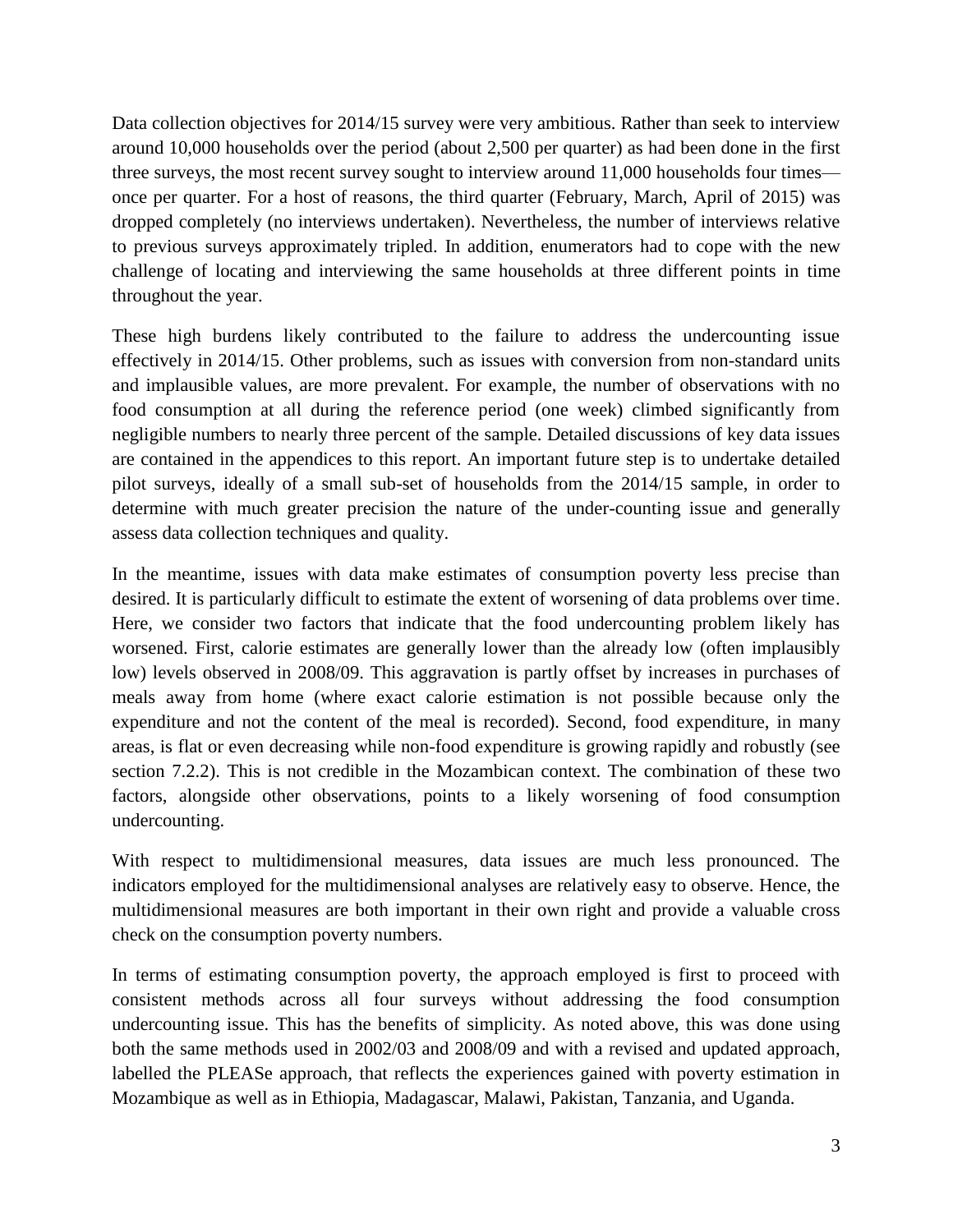Data collection objectives for 2014/15 survey were very ambitious. Rather than seek to interview around 10,000 households over the period (about 2,500 per quarter) as had been done in the first three surveys, the most recent survey sought to interview around 11,000 households four times once per quarter. For a host of reasons, the third quarter (February, March, April of 2015) was dropped completely (no interviews undertaken). Nevertheless, the number of interviews relative to previous surveys approximately tripled. In addition, enumerators had to cope with the new challenge of locating and interviewing the same households at three different points in time throughout the year.

These high burdens likely contributed to the failure to address the undercounting issue effectively in 2014/15. Other problems, such as issues with conversion from non-standard units and implausible values, are more prevalent. For example, the number of observations with no food consumption at all during the reference period (one week) climbed significantly from negligible numbers to nearly three percent of the sample. Detailed discussions of key data issues are contained in the appendices to this report. An important future step is to undertake detailed pilot surveys, ideally of a small sub-set of households from the 2014/15 sample, in order to determine with much greater precision the nature of the under-counting issue and generally assess data collection techniques and quality.

In the meantime, issues with data make estimates of consumption poverty less precise than desired. It is particularly difficult to estimate the extent of worsening of data problems over time. Here, we consider two factors that indicate that the food undercounting problem likely has worsened. First, calorie estimates are generally lower than the already low (often implausibly low) levels observed in 2008/09. This aggravation is partly offset by increases in purchases of meals away from home (where exact calorie estimation is not possible because only the expenditure and not the content of the meal is recorded). Second, food expenditure, in many areas, is flat or even decreasing while non-food expenditure is growing rapidly and robustly (see section 7.2.2). This is not credible in the Mozambican context. The combination of these two factors, alongside other observations, points to a likely worsening of food consumption undercounting.

With respect to multidimensional measures, data issues are much less pronounced. The indicators employed for the multidimensional analyses are relatively easy to observe. Hence, the multidimensional measures are both important in their own right and provide a valuable cross check on the consumption poverty numbers.

In terms of estimating consumption poverty, the approach employed is first to proceed with consistent methods across all four surveys without addressing the food consumption undercounting issue. This has the benefits of simplicity. As noted above, this was done using both the same methods used in 2002/03 and 2008/09 and with a revised and updated approach, labelled the PLEASe approach, that reflects the experiences gained with poverty estimation in Mozambique as well as in Ethiopia, Madagascar, Malawi, Pakistan, Tanzania, and Uganda.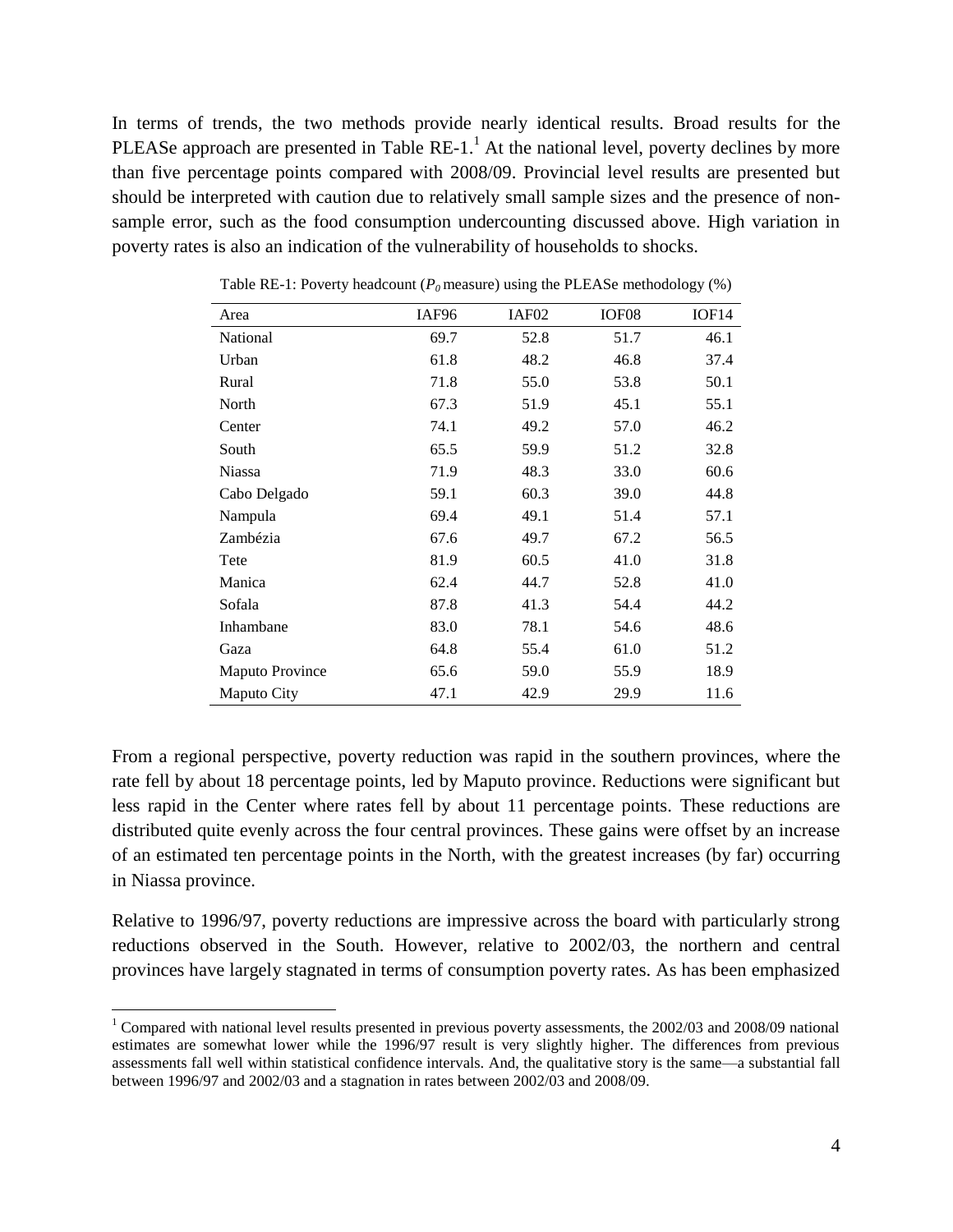In terms of trends, the two methods provide nearly identical results. Broad results for the PLEASe approach are presented in Table  $RE-1<sup>1</sup>$ . At the national level, poverty declines by more than five percentage points compared with 2008/09. Provincial level results are presented but should be interpreted with caution due to relatively small sample sizes and the presence of nonsample error, such as the food consumption undercounting discussed above. High variation in poverty rates is also an indication of the vulnerability of households to shocks.

| Area                   | IAF96 | IAF <sub>02</sub> | IOF <sub>08</sub> | IOF <sub>14</sub> |
|------------------------|-------|-------------------|-------------------|-------------------|
| National               | 69.7  | 52.8              | 51.7              | 46.1              |
| Urban                  | 61.8  | 48.2              | 46.8              | 37.4              |
| Rural                  | 71.8  | 55.0              | 53.8              | 50.1              |
| North                  | 67.3  | 51.9              | 45.1              | 55.1              |
| Center                 | 74.1  | 49.2              | 57.0              | 46.2              |
| South                  | 65.5  | 59.9              | 51.2              | 32.8              |
| <b>Niassa</b>          | 71.9  | 48.3              | 33.0              | 60.6              |
| Cabo Delgado           | 59.1  | 60.3              | 39.0              | 44.8              |
| Nampula                | 69.4  | 49.1              | 51.4              | 57.1              |
| Zambézia               | 67.6  | 49.7              | 67.2              | 56.5              |
| Tete                   | 81.9  | 60.5              | 41.0              | 31.8              |
| Manica                 | 62.4  | 44.7              | 52.8              | 41.0              |
| Sofala                 | 87.8  | 41.3              | 54.4              | 44.2              |
| Inhambane              | 83.0  | 78.1              | 54.6              | 48.6              |
| Gaza                   | 64.8  | 55.4              | 61.0              | 51.2              |
| <b>Maputo Province</b> | 65.6  | 59.0              | 55.9              | 18.9              |
| Maputo City            | 47.1  | 42.9              | 29.9              | 11.6              |

Table RE-1: Poverty headcount  $(P_0 \text{ measure})$  using the PLEASe methodology  $(\%)$ 

From a regional perspective, poverty reduction was rapid in the southern provinces, where the rate fell by about 18 percentage points, led by Maputo province. Reductions were significant but less rapid in the Center where rates fell by about 11 percentage points. These reductions are distributed quite evenly across the four central provinces. These gains were offset by an increase of an estimated ten percentage points in the North, with the greatest increases (by far) occurring in Niassa province.

Relative to 1996/97, poverty reductions are impressive across the board with particularly strong reductions observed in the South. However, relative to 2002/03, the northern and central provinces have largely stagnated in terms of consumption poverty rates. As has been emphasized

 $\overline{\phantom{a}}$ 

<sup>&</sup>lt;sup>1</sup> Compared with national level results presented in previous poverty assessments, the  $2002/03$  and  $2008/09$  national estimates are somewhat lower while the 1996/97 result is very slightly higher. The differences from previous assessments fall well within statistical confidence intervals. And, the qualitative story is the same—a substantial fall between 1996/97 and 2002/03 and a stagnation in rates between 2002/03 and 2008/09.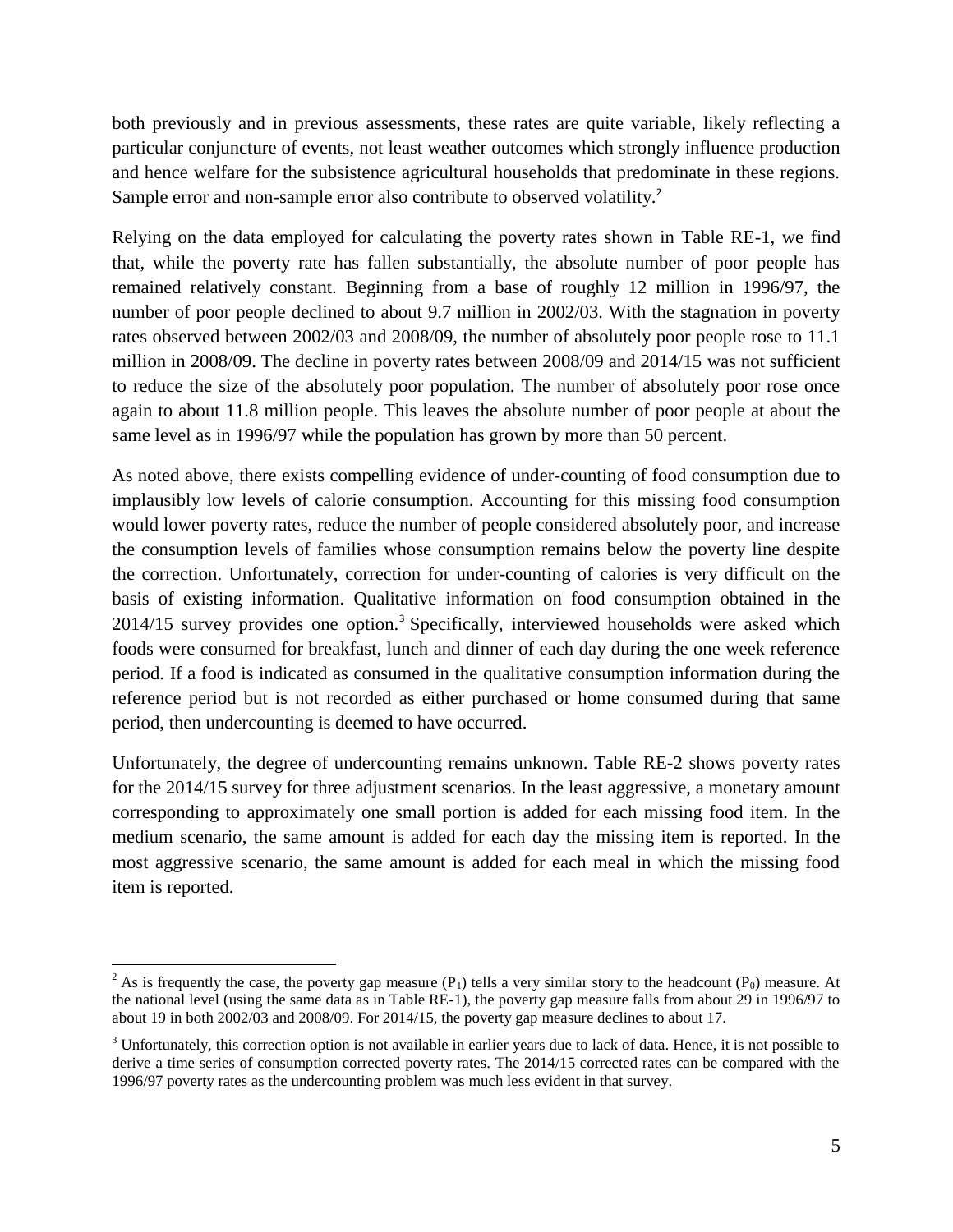both previously and in previous assessments, these rates are quite variable, likely reflecting a particular conjuncture of events, not least weather outcomes which strongly influence production and hence welfare for the subsistence agricultural households that predominate in these regions. Sample error and non-sample error also contribute to observed volatility.<sup>2</sup>

Relying on the data employed for calculating the poverty rates shown in Table RE-1, we find that, while the poverty rate has fallen substantially, the absolute number of poor people has remained relatively constant. Beginning from a base of roughly 12 million in 1996/97, the number of poor people declined to about 9.7 million in 2002/03. With the stagnation in poverty rates observed between 2002/03 and 2008/09, the number of absolutely poor people rose to 11.1 million in 2008/09. The decline in poverty rates between 2008/09 and 2014/15 was not sufficient to reduce the size of the absolutely poor population. The number of absolutely poor rose once again to about 11.8 million people. This leaves the absolute number of poor people at about the same level as in 1996/97 while the population has grown by more than 50 percent.

As noted above, there exists compelling evidence of under-counting of food consumption due to implausibly low levels of calorie consumption. Accounting for this missing food consumption would lower poverty rates, reduce the number of people considered absolutely poor, and increase the consumption levels of families whose consumption remains below the poverty line despite the correction. Unfortunately, correction for under-counting of calories is very difficult on the basis of existing information. Qualitative information on food consumption obtained in the 2014/15 survey provides one option.<sup>3</sup> Specifically, interviewed households were asked which foods were consumed for breakfast, lunch and dinner of each day during the one week reference period. If a food is indicated as consumed in the qualitative consumption information during the reference period but is not recorded as either purchased or home consumed during that same period, then undercounting is deemed to have occurred.

Unfortunately, the degree of undercounting remains unknown. Table RE-2 shows poverty rates for the 2014/15 survey for three adjustment scenarios. In the least aggressive, a monetary amount corresponding to approximately one small portion is added for each missing food item. In the medium scenario, the same amount is added for each day the missing item is reported. In the most aggressive scenario, the same amount is added for each meal in which the missing food item is reported.

 $\overline{\phantom{a}}$ 

<sup>&</sup>lt;sup>2</sup> As is frequently the case, the poverty gap measure  $(P_1)$  tells a very similar story to the headcount  $(P_0)$  measure. At the national level (using the same data as in Table RE-1), the poverty gap measure falls from about 29 in 1996/97 to about 19 in both 2002/03 and 2008/09. For 2014/15, the poverty gap measure declines to about 17.

 $3$  Unfortunately, this correction option is not available in earlier years due to lack of data. Hence, it is not possible to derive a time series of consumption corrected poverty rates. The 2014/15 corrected rates can be compared with the 1996/97 poverty rates as the undercounting problem was much less evident in that survey.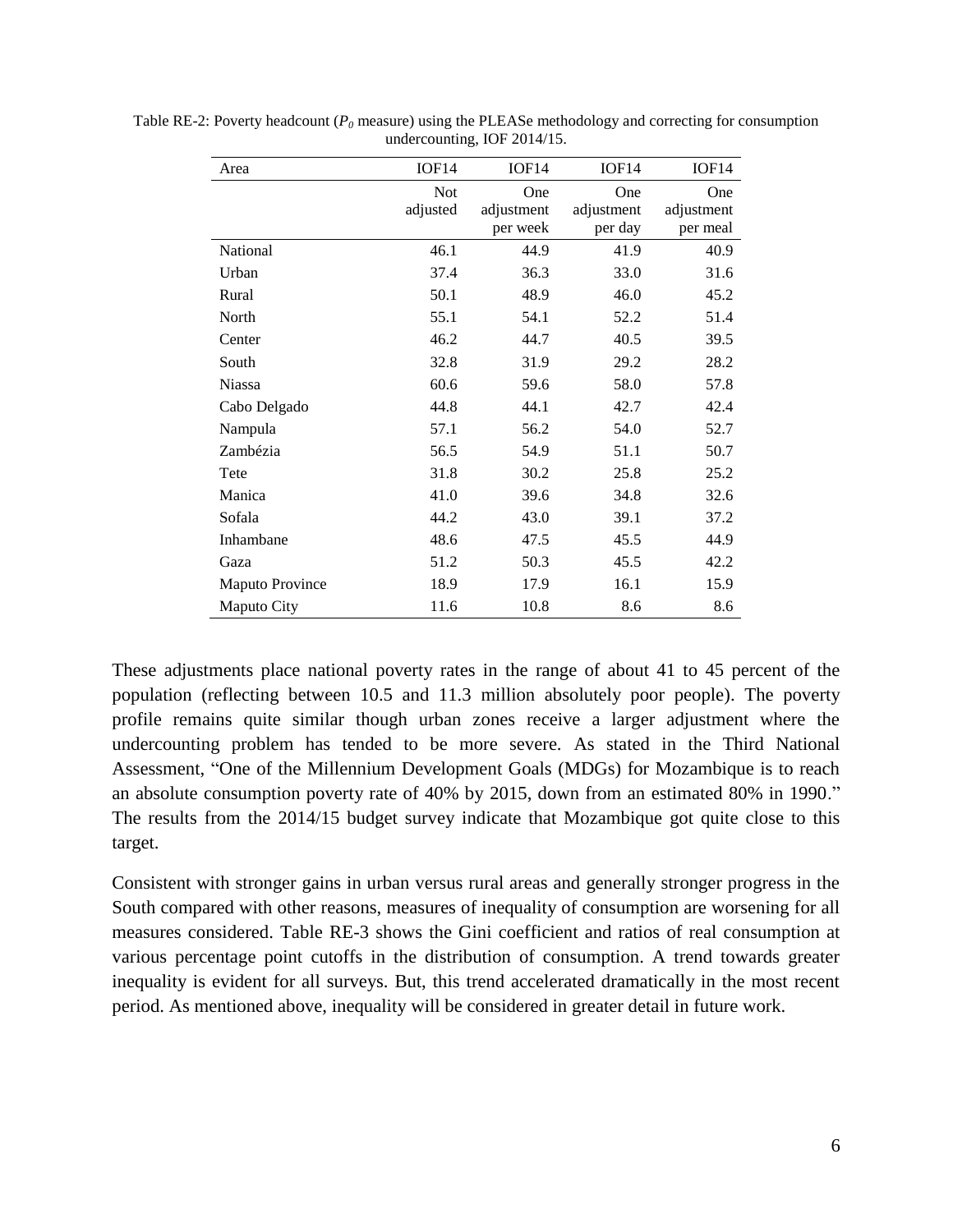| Area                   | IOF14                  | IOF14                         | IOF <sub>14</sub>            | IOF14                         |
|------------------------|------------------------|-------------------------------|------------------------------|-------------------------------|
|                        | <b>Not</b><br>adjusted | One<br>adjustment<br>per week | One<br>adjustment<br>per day | One<br>adjustment<br>per meal |
| National               | 46.1                   | 44.9                          | 41.9                         | 40.9                          |
| Urban                  | 37.4                   | 36.3                          | 33.0                         | 31.6                          |
| Rural                  | 50.1                   | 48.9                          | 46.0                         | 45.2                          |
| North                  | 55.1                   | 54.1                          | 52.2                         | 51.4                          |
| Center                 | 46.2                   | 44.7                          | 40.5                         | 39.5                          |
| South                  | 32.8                   | 31.9                          | 29.2                         | 28.2                          |
| <b>Niassa</b>          | 60.6                   | 59.6                          | 58.0                         | 57.8                          |
| Cabo Delgado           | 44.8                   | 44.1                          | 42.7                         | 42.4                          |
| Nampula                | 57.1                   | 56.2                          | 54.0                         | 52.7                          |
| Zambézia               | 56.5                   | 54.9                          | 51.1                         | 50.7                          |
| Tete                   | 31.8                   | 30.2                          | 25.8                         | 25.2                          |
| Manica                 | 41.0                   | 39.6                          | 34.8                         | 32.6                          |
| Sofala                 | 44.2                   | 43.0                          | 39.1                         | 37.2                          |
| Inhambane              | 48.6                   | 47.5                          | 45.5                         | 44.9                          |
| Gaza                   | 51.2                   | 50.3                          | 45.5                         | 42.2                          |
| <b>Maputo Province</b> | 18.9                   | 17.9                          | 16.1                         | 15.9                          |
| Maputo City            | 11.6                   | 10.8                          | 8.6                          | 8.6                           |

Table RE-2: Poverty headcount (*P<sup>0</sup>* measure) using the PLEASe methodology and correcting for consumption undercounting, IOF 2014/15.

These adjustments place national poverty rates in the range of about 41 to 45 percent of the population (reflecting between 10.5 and 11.3 million absolutely poor people). The poverty profile remains quite similar though urban zones receive a larger adjustment where the undercounting problem has tended to be more severe. As stated in the Third National Assessment, "One of the Millennium Development Goals (MDGs) for Mozambique is to reach an absolute consumption poverty rate of 40% by 2015, down from an estimated 80% in 1990." The results from the 2014/15 budget survey indicate that Mozambique got quite close to this target.

Consistent with stronger gains in urban versus rural areas and generally stronger progress in the South compared with other reasons, measures of inequality of consumption are worsening for all measures considered. Table RE-3 shows the Gini coefficient and ratios of real consumption at various percentage point cutoffs in the distribution of consumption. A trend towards greater inequality is evident for all surveys. But, this trend accelerated dramatically in the most recent period. As mentioned above, inequality will be considered in greater detail in future work.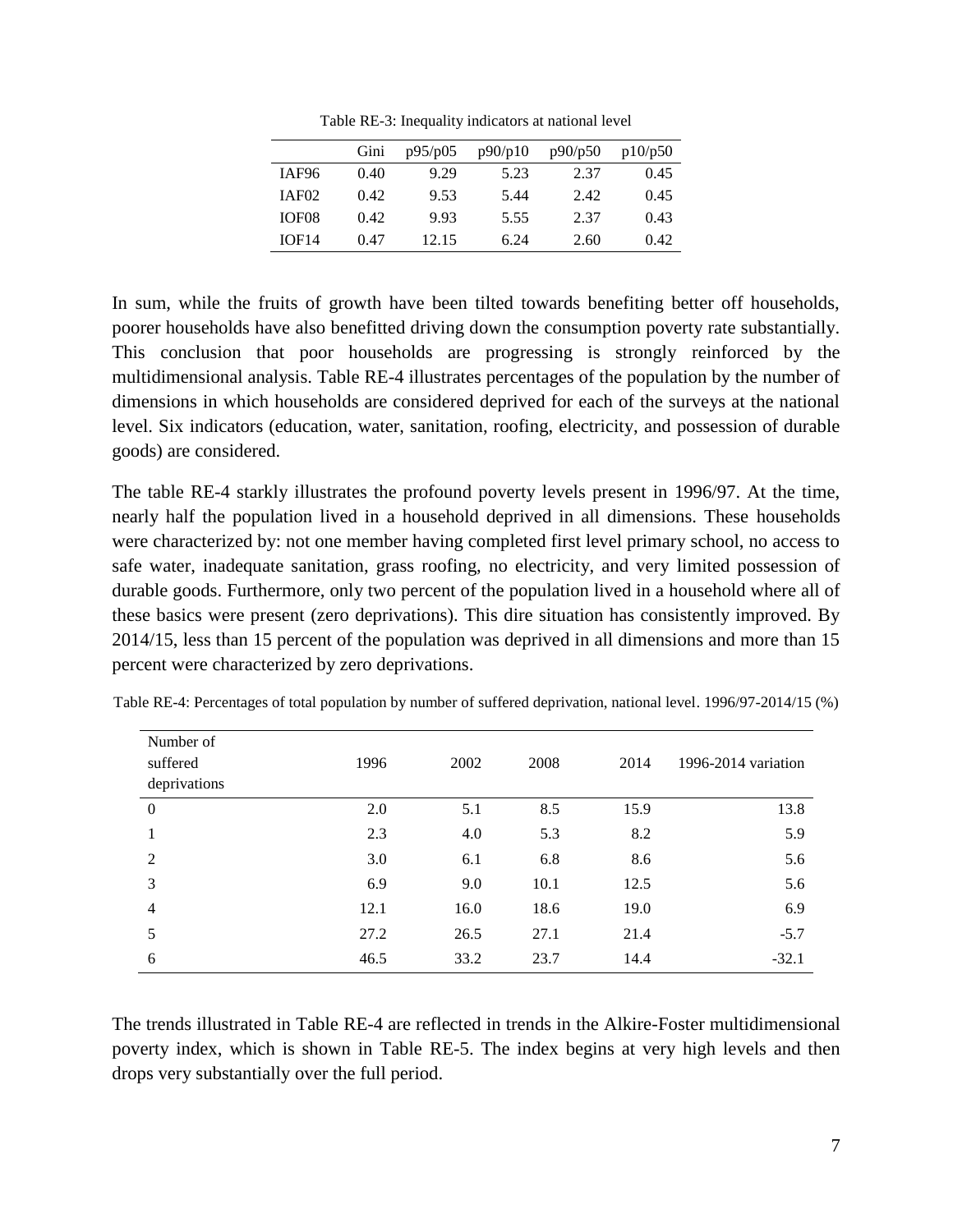| Table RE-3: Inequality indicators at national level |  |  |  |  |
|-----------------------------------------------------|--|--|--|--|
|-----------------------------------------------------|--|--|--|--|

|                   | Gini | p95/p05 | p90/p10 | p90/p50 | p10/p50 |
|-------------------|------|---------|---------|---------|---------|
| IAF96             | 0.40 | 9.29    | 5.23    | 2.37    | 0.45    |
| IAF <sub>02</sub> | 0.42 | 9.53    | 5.44    | 2.42    | 0.45    |
| IOF <sub>08</sub> | 0.42 | 9.93    | 5.55    | 2.37    | 0.43    |
| IOF14             | 0.47 | 12.15   | 6.24    | 2.60    | 0.42    |

In sum, while the fruits of growth have been tilted towards benefiting better off households, poorer households have also benefitted driving down the consumption poverty rate substantially. This conclusion that poor households are progressing is strongly reinforced by the multidimensional analysis. Table RE-4 illustrates percentages of the population by the number of dimensions in which households are considered deprived for each of the surveys at the national level. Six indicators (education, water, sanitation, roofing, electricity, and possession of durable goods) are considered.

The table RE-4 starkly illustrates the profound poverty levels present in 1996/97. At the time, nearly half the population lived in a household deprived in all dimensions. These households were characterized by: not one member having completed first level primary school, no access to safe water, inadequate sanitation, grass roofing, no electricity, and very limited possession of durable goods. Furthermore, only two percent of the population lived in a household where all of these basics were present (zero deprivations). This dire situation has consistently improved. By 2014/15, less than 15 percent of the population was deprived in all dimensions and more than 15 percent were characterized by zero deprivations.

| Number of<br>suffered<br>deprivations | 1996 | 2002 | 2008 | 2014 | 1996-2014 variation |
|---------------------------------------|------|------|------|------|---------------------|
| $\overline{0}$                        | 2.0  | 5.1  | 8.5  | 15.9 | 13.8                |
|                                       | 2.3  | 4.0  | 5.3  | 8.2  | 5.9                 |
| 2                                     | 3.0  | 6.1  | 6.8  | 8.6  | 5.6                 |
| 3                                     | 6.9  | 9.0  | 10.1 | 12.5 | 5.6                 |
| $\overline{4}$                        | 12.1 | 16.0 | 18.6 | 19.0 | 6.9                 |
| 5                                     | 27.2 | 26.5 | 27.1 | 21.4 | $-5.7$              |
| 6                                     | 46.5 | 33.2 | 23.7 | 14.4 | $-32.1$             |

Table RE-4: Percentages of total population by number of suffered deprivation, national level. 1996/97-2014/15 (%)

The trends illustrated in Table RE-4 are reflected in trends in the Alkire-Foster multidimensional poverty index, which is shown in Table RE-5. The index begins at very high levels and then drops very substantially over the full period.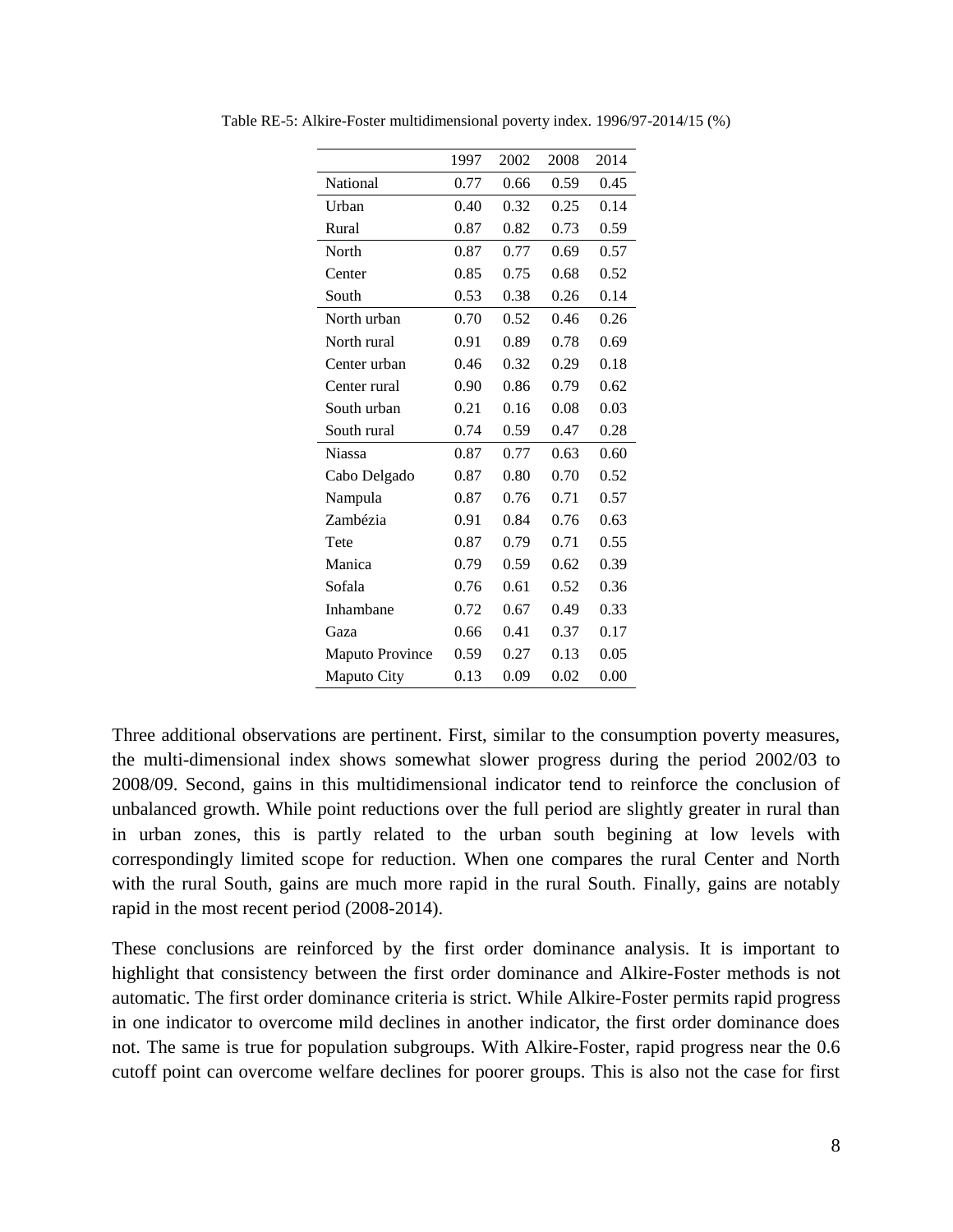|                        | 1997 | 2002 | 2008 | 2014 |
|------------------------|------|------|------|------|
| National               | 0.77 | 0.66 | 0.59 | 0.45 |
| Urban                  | 0.40 | 0.32 | 0.25 | 0.14 |
| Rural                  | 0.87 | 0.82 | 0.73 | 0.59 |
| North                  | 0.87 | 0.77 | 0.69 | 0.57 |
| Center                 | 0.85 | 0.75 | 0.68 | 0.52 |
| South                  | 0.53 | 0.38 | 0.26 | 0.14 |
| North urban            | 0.70 | 0.52 | 0.46 | 0.26 |
| North rural            | 0.91 | 0.89 | 0.78 | 0.69 |
| Center urban           | 0.46 | 0.32 | 0.29 | 0.18 |
| Center rural           | 0.90 | 0.86 | 0.79 | 0.62 |
| South urban            | 0.21 | 0.16 | 0.08 | 0.03 |
| South rural            | 0.74 | 0.59 | 0.47 | 0.28 |
| <b>Niassa</b>          | 0.87 | 0.77 | 0.63 | 0.60 |
| Cabo Delgado           | 0.87 | 0.80 | 0.70 | 0.52 |
| Nampula                | 0.87 | 0.76 | 0.71 | 0.57 |
| Zambézia               | 0.91 | 0.84 | 0.76 | 0.63 |
| Tete                   | 0.87 | 0.79 | 0.71 | 0.55 |
| Manica                 | 0.79 | 0.59 | 0.62 | 0.39 |
| Sofala                 | 0.76 | 0.61 | 0.52 | 0.36 |
| Inhambane              | 0.72 | 0.67 | 0.49 | 0.33 |
| Gaza                   | 0.66 | 0.41 | 0.37 | 0.17 |
| <b>Maputo Province</b> | 0.59 | 0.27 | 0.13 | 0.05 |
| Maputo City            | 0.13 | 0.09 | 0.02 | 0.00 |

Table RE-5: Alkire-Foster multidimensional poverty index. 1996/97-2014/15 (%)

Three additional observations are pertinent. First, similar to the consumption poverty measures, the multi-dimensional index shows somewhat slower progress during the period 2002/03 to 2008/09. Second, gains in this multidimensional indicator tend to reinforce the conclusion of unbalanced growth. While point reductions over the full period are slightly greater in rural than in urban zones, this is partly related to the urban south begining at low levels with correspondingly limited scope for reduction. When one compares the rural Center and North with the rural South, gains are much more rapid in the rural South. Finally, gains are notably rapid in the most recent period (2008-2014).

These conclusions are reinforced by the first order dominance analysis. It is important to highlight that consistency between the first order dominance and Alkire-Foster methods is not automatic. The first order dominance criteria is strict. While Alkire-Foster permits rapid progress in one indicator to overcome mild declines in another indicator, the first order dominance does not. The same is true for population subgroups. With Alkire-Foster, rapid progress near the 0.6 cutoff point can overcome welfare declines for poorer groups. This is also not the case for first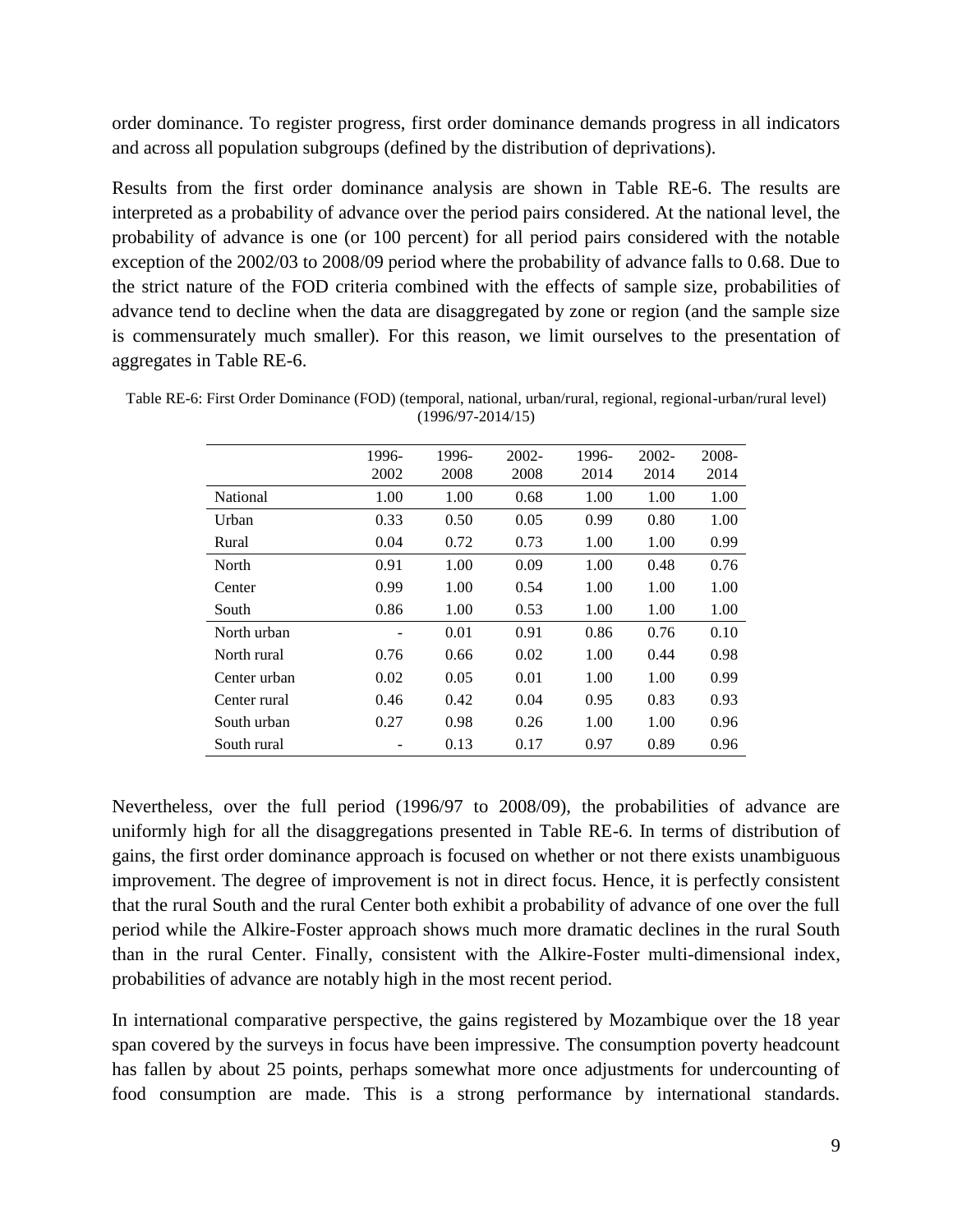order dominance. To register progress, first order dominance demands progress in all indicators and across all population subgroups (defined by the distribution of deprivations).

Results from the first order dominance analysis are shown in Table RE-6. The results are interpreted as a probability of advance over the period pairs considered. At the national level, the probability of advance is one (or 100 percent) for all period pairs considered with the notable exception of the 2002/03 to 2008/09 period where the probability of advance falls to 0.68. Due to the strict nature of the FOD criteria combined with the effects of sample size, probabilities of advance tend to decline when the data are disaggregated by zone or region (and the sample size is commensurately much smaller). For this reason, we limit ourselves to the presentation of aggregates in Table RE-6.

|                 | 1996- | 1996- | 2002- | 1996- | 2002- | 2008- |
|-----------------|-------|-------|-------|-------|-------|-------|
|                 | 2002  | 2008  | 2008  | 2014  | 2014  | 2014  |
| <b>National</b> | 1.00  | 1.00  | 0.68  | 1.00  | 1.00  | 1.00  |
| Urban           | 0.33  | 0.50  | 0.05  | 0.99  | 0.80  | 1.00  |
| Rural           | 0.04  | 0.72  | 0.73  | 1.00  | 1.00  | 0.99  |
| North           | 0.91  | 1.00  | 0.09  | 1.00  | 0.48  | 0.76  |
| Center          | 0.99  | 1.00  | 0.54  | 1.00  | 1.00  | 1.00  |
| South           | 0.86  | 1.00  | 0.53  | 1.00  | 1.00  | 1.00  |
| North urban     |       | 0.01  | 0.91  | 0.86  | 0.76  | 0.10  |
| North rural     | 0.76  | 0.66  | 0.02  | 1.00  | 0.44  | 0.98  |
| Center urban    | 0.02  | 0.05  | 0.01  | 1.00  | 1.00  | 0.99  |
| Center rural    | 0.46  | 0.42  | 0.04  | 0.95  | 0.83  | 0.93  |
| South urban     | 0.27  | 0.98  | 0.26  | 1.00  | 1.00  | 0.96  |
| South rural     |       | 0.13  | 0.17  | 0.97  | 0.89  | 0.96  |

Table RE-6: First Order Dominance (FOD) (temporal, national, urban/rural, regional, regional-urban/rural level) (1996/97-2014/15)

Nevertheless, over the full period (1996/97 to 2008/09), the probabilities of advance are uniformly high for all the disaggregations presented in Table RE-6. In terms of distribution of gains, the first order dominance approach is focused on whether or not there exists unambiguous improvement. The degree of improvement is not in direct focus. Hence, it is perfectly consistent that the rural South and the rural Center both exhibit a probability of advance of one over the full period while the Alkire-Foster approach shows much more dramatic declines in the rural South than in the rural Center. Finally, consistent with the Alkire-Foster multi-dimensional index, probabilities of advance are notably high in the most recent period.

In international comparative perspective, the gains registered by Mozambique over the 18 year span covered by the surveys in focus have been impressive. The consumption poverty headcount has fallen by about 25 points, perhaps somewhat more once adjustments for undercounting of food consumption are made. This is a strong performance by international standards.